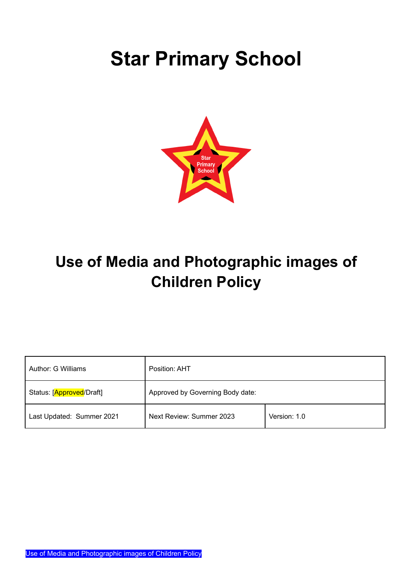# **Star Primary School**



# **Use of Media and Photographic images of Children Policy**

| Author: G Williams        | Position: AHT                    |              |
|---------------------------|----------------------------------|--------------|
| Status: [Approved/Draft]  | Approved by Governing Body date: |              |
| Last Updated: Summer 2021 | Next Review: Summer 2023         | Version: 1.0 |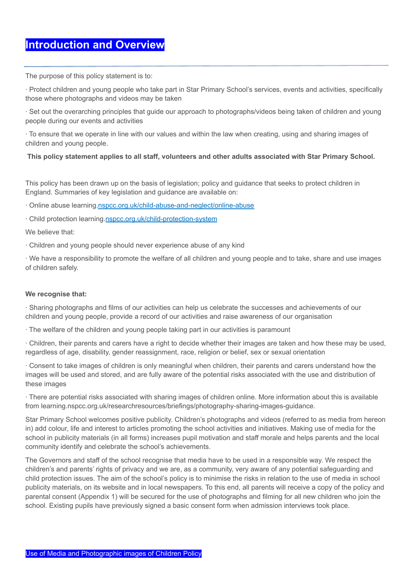# **Introduction and Overview**

The purpose of this policy statement is to:

∙ Protect children and young people who take part in Star Primary School's services, events and activities, specifically those where photographs and videos may be taken

∙ Set out the overarching principles that guide our approach to photographs/videos being taken of children and young people during our events and activities

∙ To ensure that we operate in line with our values and within the law when creating, using and sharing images of children and young people.

#### **This policy statement applies to all staff, volunteers and other adults associated with Star Primary School.**

This policy has been drawn up on the basis of legislation; policy and guidance that seeks to protect children in England. Summaries of key legislation and guidance are available on:

∙ Online abuse learning.nspcc.org.uk/child-abuse-and-neglect/online-abuse

∙ Child protection learning.nspcc.org.uk/child-protection-system

We believe that:

∙ Children and young people should never experience abuse of any kind

∙ We have a responsibility to promote the welfare of all children and young people and to take, share and use images of children safely.

#### **We recognise that:**

∙ Sharing photographs and films of our activities can help us celebrate the successes and achievements of our children and young people, provide a record of our activities and raise awareness of our organisation

∙ The welfare of the children and young people taking part in our activities is paramount

∙ Children, their parents and carers have a right to decide whether their images are taken and how these may be used, regardless of age, disability, gender reassignment, race, religion or belief, sex or sexual orientation

∙ Consent to take images of children is only meaningful when children, their parents and carers understand how the images will be used and stored, and are fully aware of the potential risks associated with the use and distribution of these images

∙ There are potential risks associated with sharing images of children online. More information about this is available from learning.nspcc.org.uk/researchresources/briefings/photography-sharing-images-guidance.

Star Primary School welcomes positive publicity. Children's photographs and videos (referred to as media from hereon in) add colour, life and interest to articles promoting the school activities and initiatives. Making use of media for the school in publicity materials (in all forms) increases pupil motivation and staff morale and helps parents and the local community identify and celebrate the school's achievements.

The Governors and staff of the school recognise that media have to be used in a responsible way. We respect the children's and parents' rights of privacy and we are, as a community, very aware of any potential safeguarding and child protection issues. The aim of the school's policy is to minimise the risks in relation to the use of media in school publicity materials, on its website and in local newspapers. To this end, all parents will receive a copy of the policy and parental consent (Appendix 1) will be secured for the use of photographs and filming for all new children who join the school. Existing pupils have previously signed a basic consent form when admission interviews took place.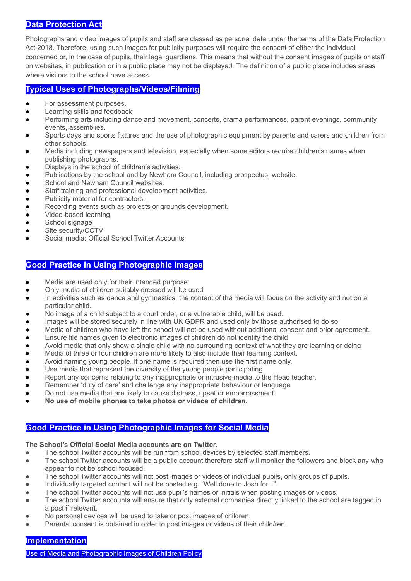#### **Data Protection Act**

Photographs and video images of pupils and staff are classed as personal data under the terms of the Data Protection Act 2018. Therefore, using such images for publicity purposes will require the consent of either the individual concerned or, in the case of pupils, their legal guardians. This means that without the consent images of pupils or staff on websites, in publication or in a public place may not be displayed. The definition of a public place includes areas where visitors to the school have access.

#### **Typical Uses of Photographs/Videos/Filming**

- For assessment purposes.
- Learning skills and feedback
- Performing arts including dance and movement, concerts, drama performances, parent evenings, community events, assemblies.
- Sports days and sports fixtures and the use of photographic equipment by parents and carers and children from other schools.
- Media including newspapers and television, especially when some editors require children's names when publishing photographs.
- Displays in the school of children's activities.
- Publications by the school and by Newham Council, including prospectus, website.
- School and Newham Council websites.
- Staff training and professional development activities.
- Publicity material for contractors.
- Recording events such as projects or grounds development.
- Video-based learning.
- School signage
- Site security/CCTV
- Social media: Official School Twitter Accounts

#### **Good Practice in Using Photographic Images**

- Media are used only for their intended purpose
- Only media of children suitably dressed will be used
- In activities such as dance and gymnastics, the content of the media will focus on the activity and not on a particular child.
- No image of a child subject to a court order, or a vulnerable child, will be used.
- Images will be stored securely in line with UK GDPR and used only by those authorised to do so
- Media of children who have left the school will not be used without additional consent and prior agreement.
- Ensure file names given to electronic images of children do not identify the child
- Avoid media that only show a single child with no surrounding context of what they are learning or doing
- Media of three or four children are more likely to also include their learning context.
- Avoid naming young people. If one name is required then use the first name only.
- Use media that represent the diversity of the young people participating
- Report any concerns relating to any inappropriate or intrusive media to the Head teacher.
- Remember 'duty of care' and challenge any inappropriate behaviour or language
- Do not use media that are likely to cause distress, upset or embarrassment.
- **● No use of mobile phones to take photos or videos of children.**

## **Good Practice in Using Photographic Images for Social Media**

#### **The School's Official Social Media accounts are on Twitter.**

- The school Twitter accounts will be run from school devices by selected staff members.
- The school Twitter accounts will be a public account therefore staff will monitor the followers and block any who appear to not be school focused.
- The school Twitter accounts will not post images or videos of individual pupils, only groups of pupils.
- Individually targeted content will not be posted e.g. "Well done to Josh for...".
- The school Twitter accounts will not use pupil's names or initials when posting images or videos.
- The school Twitter accounts will ensure that only external companies directly linked to the school are tagged in a post if relevant.
- No personal devices will be used to take or post images of children.
- Parental consent is obtained in order to post images or videos of their child/ren.

# **Implementation**

Use of Media and Photographic images of Children Policy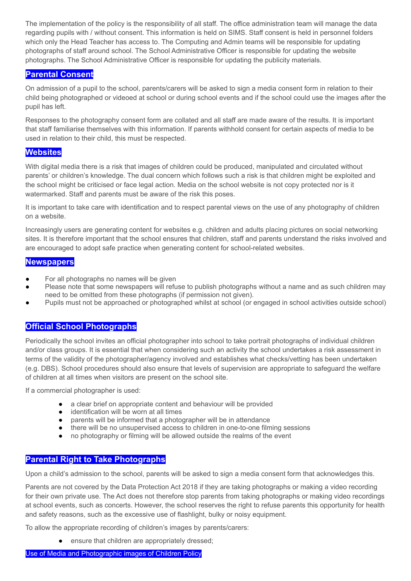The implementation of the policy is the responsibility of all staff. The office administration team will manage the data regarding pupils with / without consent. This information is held on SIMS. Staff consent is held in personnel folders which only the Head Teacher has access to. The Computing and Admin teams will be responsible for updating photographs of staff around school. The School Administrative Officer is responsible for updating the website photographs. The School Administrative Officer is responsible for updating the publicity materials.

### **Parental Consent**

On admission of a pupil to the school, parents/carers will be asked to sign a media consent form in relation to their child being photographed or videoed at school or during school events and if the school could use the images after the pupil has left.

Responses to the photography consent form are collated and all staff are made aware of the results. It is important that staff familiarise themselves with this information. If parents withhold consent for certain aspects of media to be used in relation to their child, this must be respected.

#### **Websites**

With digital media there is a risk that images of children could be produced, manipulated and circulated without parents' or children's knowledge. The dual concern which follows such a risk is that children might be exploited and the school might be criticised or face legal action. Media on the school website is not copy protected nor is it watermarked. Staff and parents must be aware of the risk this poses.

It is important to take care with identification and to respect parental views on the use of any photography of children on a website.

Increasingly users are generating content for websites e.g. children and adults placing pictures on social networking sites. It is therefore important that the school ensures that children, staff and parents understand the risks involved and are encouraged to adopt safe practice when generating content for school-related websites.

#### **Newspapers**

- For all photographs no names will be given
- Please note that some newspapers will refuse to publish photographs without a name and as such children may need to be omitted from these photographs (if permission not given).
- Pupils must not be approached or photographed whilst at school (or engaged in school activities outside school)

#### **Official School Photographs**

Periodically the school invites an official photographer into school to take portrait photographs of individual children and/or class groups. It is essential that when considering such an activity the school undertakes a risk assessment in terms of the validity of the photographer/agency involved and establishes what checks/vetting has been undertaken (e.g. DBS). School procedures should also ensure that levels of supervision are appropriate to safeguard the welfare of children at all times when visitors are present on the school site.

If a commercial photographer is used:

- a clear brief on appropriate content and behaviour will be provided
- identification will be worn at all times
- parents will be informed that a photographer will be in attendance
- there will be no unsupervised access to children in one-to-one filming sessions
- no photography or filming will be allowed outside the realms of the event

#### **Parental Right to Take Photographs**

Upon a child's admission to the school, parents will be asked to sign a media consent form that acknowledges this.

Parents are not covered by the Data Protection Act 2018 if they are taking photographs or making a video recording for their own private use. The Act does not therefore stop parents from taking photographs or making video recordings at school events, such as concerts. However, the school reserves the right to refuse parents this opportunity for health and safety reasons, such as the excessive use of flashlight, bulky or noisy equipment.

To allow the appropriate recording of children's images by parents/carers:

ensure that children are appropriately dressed;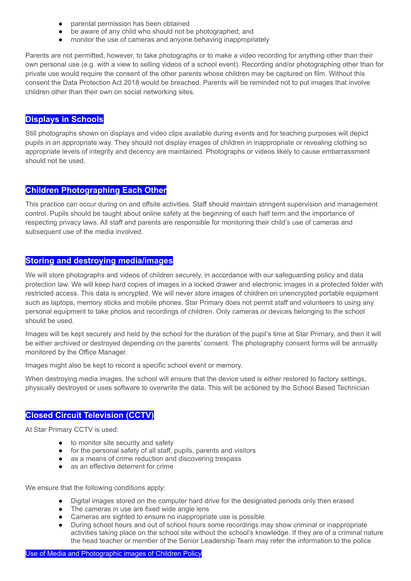- parental permission has been obtained
- be aware of any child who should not be photographed; and
- monitor the use of cameras and anyone behaving inappropriately

Parents are not permitted, however, to take photographs or to make a video recording for anything other than their own personal use (e.g. with a view to selling videos of a school event). Recording and/or photographing other than for private use would require the consent of the other parents whose children may be captured on film. Without this consent the Data Protection Act 2018 would be breached. Parents will be reminded not to put images that involve children other than their own on social networking sites.

# **Displays in Schools**

Still photographs shown on displays and video clips available during events and for teaching purposes will depict pupils in an appropriate way. They should not display images of children in inappropriate or revealing clothing so appropriate levels of integrity and decency are maintained. Photographs or videos likely to cause embarrassment should not be used.

# **Children Photographing Each Other**

This practice can occur during on and offsite activities. Staff should maintain stringent supervision and management control. Pupils should be taught about online safety at the beginning of each half term and the importance of respecting privacy laws. All staff and parents are responsible for monitoring their child's use of cameras and subsequent use of the media involved.

# **Storing and destroying media/images**

We will store photographs and videos of children securely, in accordance with our safeguarding policy and data protection law. We will keep hard copies of images in a locked drawer and electronic images in a protected folder with restricted access. This data is encrypted. We will never store images of children on unencrypted portable equipment such as laptops, memory sticks and mobile phones. Star Primary does not permit staff and volunteers to using any personal equipment to take photos and recordings of children. Only cameras or devices belonging to the school should be used.

Images will be kept securely and held by the school for the duration of the pupil's time at Star Primary, and then it will be either archived or destroyed depending on the parents' consent. The photography consent forms will be annually monitored by the Office Manager.

Images might also be kept to record a specific school event or memory.

When destroying media images, the school will ensure that the device used is either restored to factory settings, physically destroyed or uses software to overwrite the data. This will be actioned by the School Based Technician

# **Closed Circuit Television (CCTV)**

At Star Primary CCTV is used:

- to monitor site security and safety
- for the personal safety of all staff, pupils, parents and visitors
- as a means of crime reduction and discovering trespass
- as an effective deterrent for crime

We ensure that the following conditions apply:

- Digital images stored on the computer hard drive for the designated periods only then erased
- The cameras in use are fixed wide angle lens
- Cameras are sighted to ensure no inappropriate use is possible.
- During school hours and out of school hours some recordings may show criminal or inappropriate activities taking place on the school site without the school's knowledge. If they are of a criminal nature the head teacher or member of the Senior Leadership Team may refer the information to the police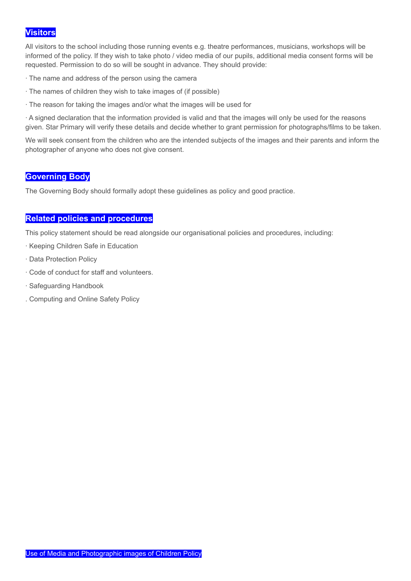# **Visitors**

All visitors to the school including those running events e.g. theatre performances, musicians, workshops will be informed of the policy. If they wish to take photo / video media of our pupils, additional media consent forms will be requested. Permission to do so will be sought in advance. They should provide:

- ∙ The name and address of the person using the camera
- ∙ The names of children they wish to take images of (if possible)
- ∙ The reason for taking the images and/or what the images will be used for

∙ A signed declaration that the information provided is valid and that the images will only be used for the reasons given. Star Primary will verify these details and decide whether to grant permission for photographs/films to be taken.

We will seek consent from the children who are the intended subjects of the images and their parents and inform the photographer of anyone who does not give consent.

#### **Governing Body**

The Governing Body should formally adopt these guidelines as policy and good practice.

#### **Related policies and procedures**

This policy statement should be read alongside our organisational policies and procedures, including:

- ∙ Keeping Children Safe in Education
- ∙ Data Protection Policy
- ∙ Code of conduct for staff and volunteers.
- ∙ Safeguarding Handbook
- . Computing and Online Safety Policy